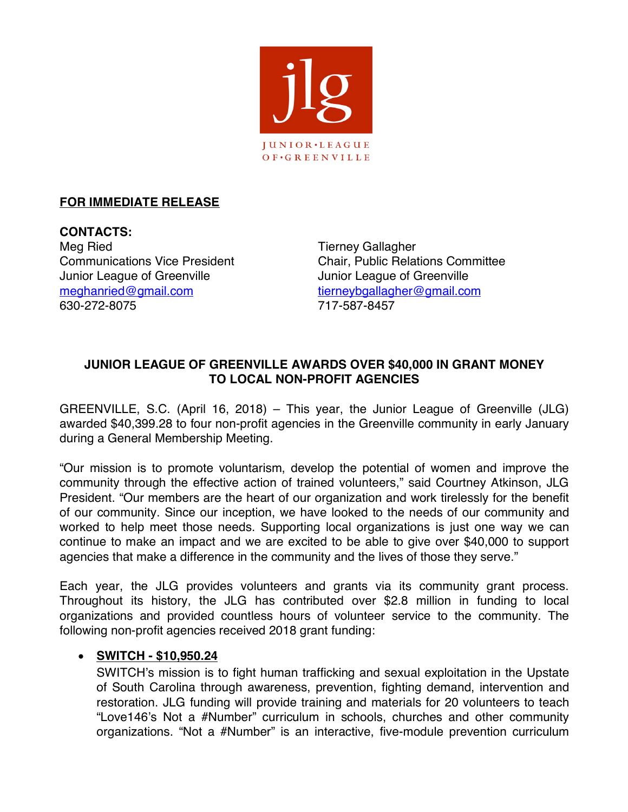

# **FOR IMMEDIATE RELEASE**

**CONTACTS:** Meg Ried Tierney Gallagher Junior League of Greenville **Junior League of Greenville** meghanried@gmail.com tierneybgallagher@gmail.com 630-272-8075 717-587-8457

Communications Vice President Chair, Public Relations Committee

# **JUNIOR LEAGUE OF GREENVILLE AWARDS OVER \$40,000 IN GRANT MONEY TO LOCAL NON-PROFIT AGENCIES**

GREENVILLE, S.C. (April 16, 2018) – This year, the Junior League of Greenville (JLG) awarded \$40,399.28 to four non-profit agencies in the Greenville community in early January during a General Membership Meeting.

"Our mission is to promote voluntarism, develop the potential of women and improve the community through the effective action of trained volunteers," said Courtney Atkinson, JLG President. "Our members are the heart of our organization and work tirelessly for the benefit of our community. Since our inception, we have looked to the needs of our community and worked to help meet those needs. Supporting local organizations is just one way we can continue to make an impact and we are excited to be able to give over \$40,000 to support agencies that make a difference in the community and the lives of those they serve."

Each year, the JLG provides volunteers and grants via its community grant process. Throughout its history, the JLG has contributed over \$2.8 million in funding to local organizations and provided countless hours of volunteer service to the community. The following non-profit agencies received 2018 grant funding:

## • **SWITCH - \$10,950.24**

SWITCH's mission is to fight human trafficking and sexual exploitation in the Upstate of South Carolina through awareness, prevention, fighting demand, intervention and restoration. JLG funding will provide training and materials for 20 volunteers to teach "Love146's Not a #Number" curriculum in schools, churches and other community organizations. "Not a #Number" is an interactive, five-module prevention curriculum